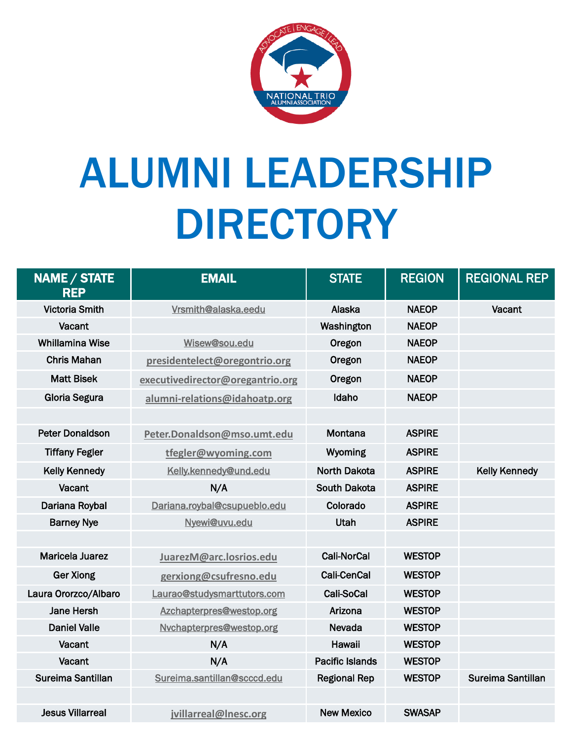

## ALUMNI LEADERSHIP DIRECTORY

| NAME / STATE<br><b>REP</b> | <b>EMAIL</b>                     | <b>STATE</b>           | <b>REGION</b> | <b>REGIONAL REP</b>  |
|----------------------------|----------------------------------|------------------------|---------------|----------------------|
| <b>Victoria Smith</b>      | Vrsmith@alaska.eedu              | Alaska                 | <b>NAEOP</b>  | Vacant               |
| Vacant                     |                                  | Washington             | <b>NAEOP</b>  |                      |
| <b>Whillamina Wise</b>     | Wisew@sou.edu                    | Oregon                 | <b>NAEOP</b>  |                      |
| <b>Chris Mahan</b>         | presidentelect@oregontrio.org    | Oregon                 | <b>NAEOP</b>  |                      |
| <b>Matt Bisek</b>          | executivedirector@oregantrio.org | Oregon                 | <b>NAEOP</b>  |                      |
| <b>Gloria Segura</b>       | alumni-relations@idahoatp.org    | Idaho                  | <b>NAEOP</b>  |                      |
|                            |                                  |                        |               |                      |
| <b>Peter Donaldson</b>     | Peter.Donaldson@mso.umt.edu      | Montana                | <b>ASPIRE</b> |                      |
| <b>Tiffany Fegler</b>      | tfegler@wyoming.com              | Wyoming                | <b>ASPIRE</b> |                      |
| <b>Kelly Kennedy</b>       | Kelly.kennedy@und.edu            | North Dakota           | <b>ASPIRE</b> | <b>Kelly Kennedy</b> |
| Vacant                     | N/A                              | <b>South Dakota</b>    | <b>ASPIRE</b> |                      |
| Dariana Roybal             | Dariana.roybal@csupueblo.edu     | Colorado               | <b>ASPIRE</b> |                      |
| <b>Barney Nye</b>          | Nyewi@uvu.edu                    | Utah                   | <b>ASPIRE</b> |                      |
|                            |                                  |                        |               |                      |
| <b>Maricela Juarez</b>     | JuarezM@arc.losrios.edu          | <b>Cali-NorCal</b>     | <b>WESTOP</b> |                      |
| <b>Ger Xiong</b>           | gerxiong@csufresno.edu           | <b>Cali-CenCal</b>     | <b>WESTOP</b> |                      |
| Laura Ororzco/Albaro       | Laurao@studysmarttutors.com      | Cali-SoCal             | <b>WESTOP</b> |                      |
| <b>Jane Hersh</b>          | Azchapterpres@westop.org         | Arizona                | <b>WESTOP</b> |                      |
| <b>Daniel Valle</b>        | Nychapterpres@westop.org         | Nevada                 | <b>WESTOP</b> |                      |
| Vacant                     | N/A                              | Hawaii                 | <b>WESTOP</b> |                      |
| Vacant                     | N/A                              | <b>Pacific Islands</b> | <b>WESTOP</b> |                      |
| Sureima Santillan          | Sureima.santillan@scccd.edu      | <b>Regional Rep</b>    | <b>WESTOP</b> | Sureima Santillan    |
|                            |                                  |                        |               |                      |
| <b>Jesus Villarreal</b>    | jvillarreal@Inesc.org            | <b>New Mexico</b>      | <b>SWASAP</b> |                      |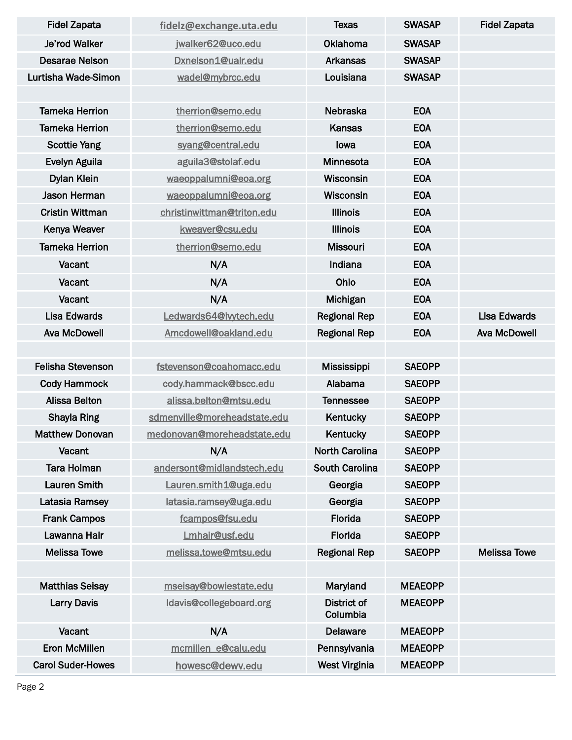| <b>Fidel Zapata</b>      | fidelz@exchange.uta.edu      | Texas                   | <b>SWASAP</b>  | <b>Fidel Zapata</b> |
|--------------------------|------------------------------|-------------------------|----------------|---------------------|
| Je'rod Walker            | jwalker62@uco.edu            | <b>Oklahoma</b>         | <b>SWASAP</b>  |                     |
| <b>Desarae Nelson</b>    | Dxnelson1@ualr.edu           | <b>Arkansas</b>         | <b>SWASAP</b>  |                     |
| Lurtisha Wade-Simon      | wadel@mybrcc.edu             | Louisiana               | <b>SWASAP</b>  |                     |
|                          |                              |                         |                |                     |
| <b>Tameka Herrion</b>    | therrion@semo.edu            | Nebraska                | <b>EOA</b>     |                     |
| <b>Tameka Herrion</b>    | therrion@semo.edu            | <b>Kansas</b>           | <b>EOA</b>     |                     |
| <b>Scottie Yang</b>      | syang@central.edu            | lowa                    | <b>EOA</b>     |                     |
| Evelyn Aguila            | aguila3@stolaf.edu           | Minnesota               | <b>EOA</b>     |                     |
| <b>Dylan Klein</b>       | waeoppalumni@eoa.org         | Wisconsin               | <b>EOA</b>     |                     |
| Jason Herman             | waeoppalumni@eoa.org         | Wisconsin               | <b>EOA</b>     |                     |
| <b>Cristin Wittman</b>   | christinwittman@triton.edu   | <b>Illinois</b>         | <b>EOA</b>     |                     |
| Kenya Weaver             | kweaver@csu.edu              | <b>Illinois</b>         | <b>EOA</b>     |                     |
| <b>Tameka Herrion</b>    | therrion@semo.edu            | <b>Missouri</b>         | <b>EOA</b>     |                     |
| Vacant                   | N/A                          | Indiana                 | <b>EOA</b>     |                     |
| Vacant                   | N/A                          | Ohio                    | <b>EOA</b>     |                     |
| Vacant                   | N/A                          | Michigan                | <b>EOA</b>     |                     |
| <b>Lisa Edwards</b>      | Ledwards64@ivytech.edu       | <b>Regional Rep</b>     | <b>EOA</b>     | <b>Lisa Edwards</b> |
| <b>Ava McDowell</b>      | Amcdowell@oakland.edu        | <b>Regional Rep</b>     | <b>EOA</b>     | <b>Ava McDowell</b> |
|                          |                              |                         |                |                     |
| <b>Felisha Stevenson</b> | fstevenson@coahomacc.edu     | <b>Mississippi</b>      | <b>SAEOPP</b>  |                     |
| <b>Cody Hammock</b>      | cody.hammack@bscc.edu        | Alabama                 | <b>SAEOPP</b>  |                     |
| <b>Alissa Belton</b>     | alissa.belton@mtsu.edu       | <b>Tennessee</b>        | <b>SAEOPP</b>  |                     |
| <b>Shayla Ring</b>       | sdmenville@moreheadstate.edu | Kentucky                | <b>SAEOPP</b>  |                     |
| <b>Matthew Donovan</b>   | medonovan@moreheadstate.edu  | Kentucky                | <b>SAEOPP</b>  |                     |
| Vacant                   | N/A                          | <b>North Carolina</b>   | <b>SAEOPP</b>  |                     |
| <b>Tara Holman</b>       | andersont@midlandstech.edu   | <b>South Carolina</b>   | <b>SAEOPP</b>  |                     |
| <b>Lauren Smith</b>      | Lauren.smith1@uga.edu        | Georgia                 | <b>SAEOPP</b>  |                     |
| Latasia Ramsey           | latasia.ramsey@uga.edu       | Georgia                 | <b>SAEOPP</b>  |                     |
| <b>Frank Campos</b>      | fcampos@fsu.edu              | Florida                 | <b>SAEOPP</b>  |                     |
| Lawanna Hair             | Lmhair@usf.edu               | Florida                 | <b>SAEOPP</b>  |                     |
| <b>Melissa Towe</b>      | melissa.towe@mtsu.edu        | <b>Regional Rep</b>     | <b>SAEOPP</b>  | <b>Melissa Towe</b> |
|                          |                              |                         |                |                     |
| <b>Matthias Seisay</b>   | mseisay@bowiestate.edu       | Maryland                | <b>MEAEOPP</b> |                     |
| <b>Larry Davis</b>       | Idavis@collegeboard.org      | District of<br>Columbia | <b>MEAEOPP</b> |                     |
| Vacant                   | N/A                          | <b>Delaware</b>         | <b>MEAEOPP</b> |                     |
| <b>Eron McMillen</b>     | mcmillen e@calu.edu          | Pennsylvania            | <b>MEAEOPP</b> |                     |
| <b>Carol Suder-Howes</b> | howesc@dewv.edu              | <b>West Virginia</b>    | <b>MEAEOPP</b> |                     |